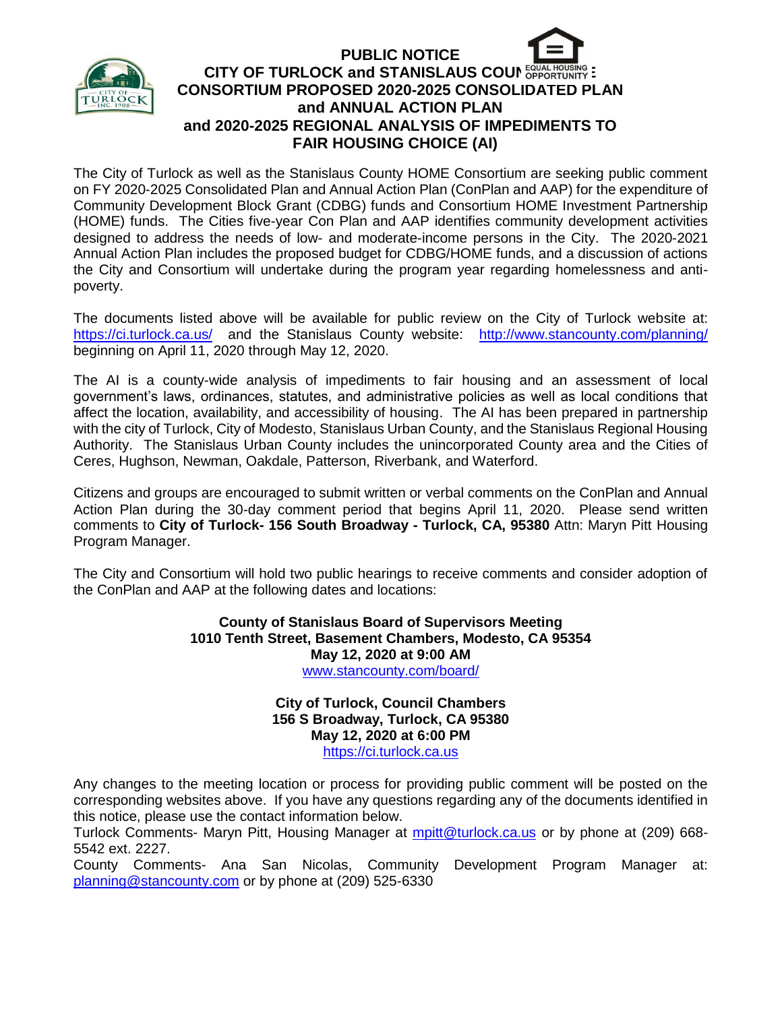

## **PUBLIC NOTICE CITY OF TURLOCK and STANISLAUS COUN EQUAL HOUSING -CONSORTIUM PROPOSED 2020-2025 CONSOLIDATED PLAN and ANNUAL ACTION PLAN and 2020-2025 REGIONAL ANALYSIS OF IMPEDIMENTS TO FAIR HOUSING CHOICE (AI)**

The City of Turlock as well as the Stanislaus County HOME Consortium are seeking public comment on FY 2020-2025 Consolidated Plan and Annual Action Plan (ConPlan and AAP) for the expenditure of Community Development Block Grant (CDBG) funds and Consortium HOME Investment Partnership (HOME) funds. The Cities five-year Con Plan and AAP identifies community development activities designed to address the needs of low- and moderate-income persons in the City. The 2020-2021 Annual Action Plan includes the proposed budget for CDBG/HOME funds, and a discussion of actions the City and Consortium will undertake during the program year regarding homelessness and antipoverty.

The documents listed above will be available for public review on the City of Turlock website at: <https://ci.turlock.ca.us/> and the Stanislaus County website: <http://www.stancounty.com/planning/> beginning on April 11, 2020 through May 12, 2020.

The AI is a county-wide analysis of impediments to fair housing and an assessment of local government's laws, ordinances, statutes, and administrative policies as well as local conditions that affect the location, availability, and accessibility of housing. The AI has been prepared in partnership with the city of Turlock, City of Modesto, Stanislaus Urban County, and the Stanislaus Regional Housing Authority. The Stanislaus Urban County includes the unincorporated County area and the Cities of Ceres, Hughson, Newman, Oakdale, Patterson, Riverbank, and Waterford.

Citizens and groups are encouraged to submit written or verbal comments on the ConPlan and Annual Action Plan during the 30-day comment period that begins April 11, 2020. Please send written comments to **City of Turlock- 156 South Broadway - Turlock, CA, 95380** Attn: Maryn Pitt Housing Program Manager.

The City and Consortium will hold two public hearings to receive comments and consider adoption of the ConPlan and AAP at the following dates and locations:

> **County of Stanislaus Board of Supervisors Meeting 1010 Tenth Street, Basement Chambers, Modesto, CA 95354 May 12, 2020 at 9:00 AM**  [www.stancounty.com/board/](http://www.stancounty.com/board/)

> > **City of Turlock, Council Chambers 156 S Broadway, Turlock, CA 95380 May 12, 2020 at 6:00 PM** [https://ci.turlock.ca.us](https://ci.turlock.ca.us/)

Any changes to the meeting location or process for providing public comment will be posted on the corresponding websites above. If you have any questions regarding any of the documents identified in this notice, please use the contact information below.

Turlock Comments- Maryn Pitt, Housing Manager at [mpitt@turlock.ca.us](mailto:mpitt@turlock.ca.us) or by phone at (209) 668- 5542 ext. 2227.

County Comments- Ana San Nicolas, Community Development Program Manager at: [planning@stancounty.com](mailto:planning@stancounty.com) or by phone at (209) 525-6330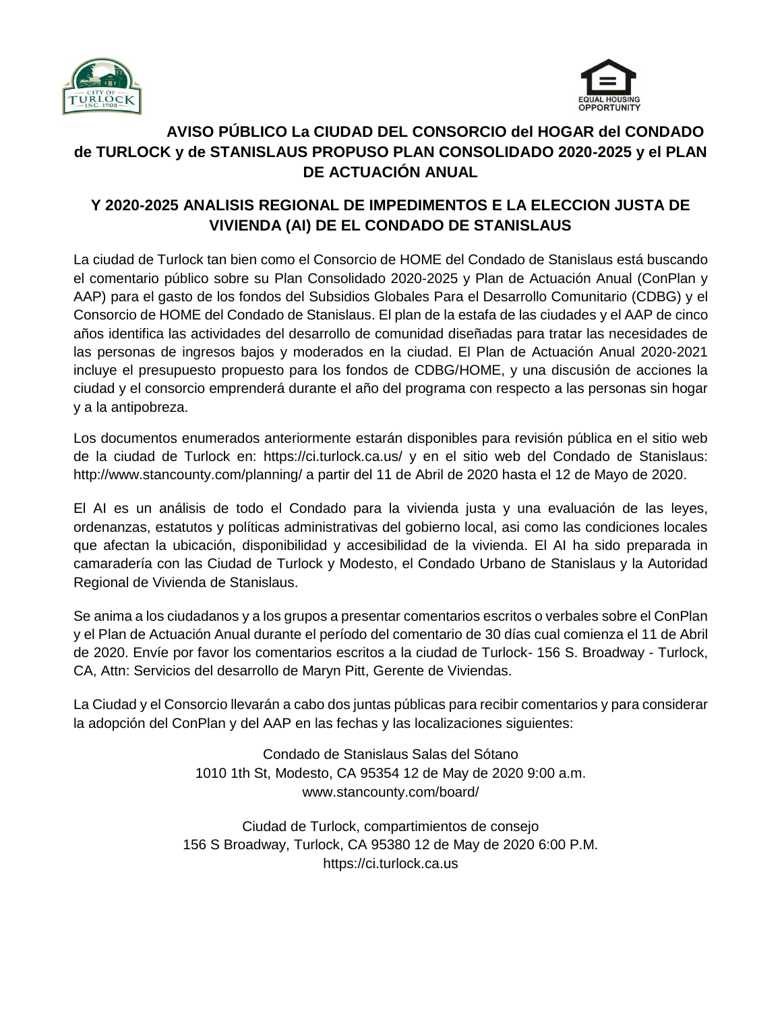



## **AVISO PÚBLICO La CIUDAD DEL CONSORCIO del HOGAR del CONDADO de TURLOCK y de STANISLAUS PROPUSO PLAN CONSOLIDADO 2020-2025 y el PLAN DE ACTUACIÓN ANUAL**

## **Y 2020-2025 ANALISIS REGIONAL DE IMPEDIMENTOS E LA ELECCION JUSTA DE VIVIENDA (AI) DE EL CONDADO DE STANISLAUS**

La ciudad de Turlock tan bien como el Consorcio de HOME del Condado de Stanislaus está buscando el comentario público sobre su Plan Consolidado 2020-2025 y Plan de Actuación Anual (ConPlan y AAP) para el gasto de los fondos del Subsidios Globales Para el Desarrollo Comunitario (CDBG) y el Consorcio de HOME del Condado de Stanislaus. El plan de la estafa de las ciudades y el AAP de cinco años identifica las actividades del desarrollo de comunidad diseñadas para tratar las necesidades de las personas de ingresos bajos y moderados en la ciudad. El Plan de Actuación Anual 2020-2021 incluye el presupuesto propuesto para los fondos de CDBG/HOME, y una discusión de acciones la ciudad y el consorcio emprenderá durante el año del programa con respecto a las personas sin hogar y a la antipobreza.

Los documentos enumerados anteriormente estarán disponibles para revisión pública en el sitio web de la ciudad de Turlock en: https://ci.turlock.ca.us/ y en el sitio web del Condado de Stanislaus: http://www.stancounty.com/planning/ a partir del 11 de Abril de 2020 hasta el 12 de Mayo de 2020.

El AI es un análisis de todo el Condado para la vivienda justa y una evaluación de las leyes, ordenanzas, estatutos y políticas administrativas del gobierno local, asi como las condiciones locales que afectan la ubicación, disponibilidad y accesibilidad de la vivienda. El AI ha sido preparada in camaradería con las Ciudad de Turlock y Modesto, el Condado Urbano de Stanislaus y la Autoridad Regional de Vivienda de Stanislaus.

Se anima a los ciudadanos y a los grupos a presentar comentarios escritos o verbales sobre el ConPlan y el Plan de Actuación Anual durante el período del comentario de 30 días cual comienza el 11 de Abril de 2020. Envíe por favor los comentarios escritos a la ciudad de Turlock- 156 S. Broadway - Turlock, CA, Attn: Servicios del desarrollo de Maryn Pitt, Gerente de Viviendas.

La Ciudad y el Consorcio llevarán a cabo dos juntas públicas para recibir comentarios y para considerar la adopción del ConPlan y del AAP en las fechas y las localizaciones siguientes:

> Condado de Stanislaus Salas del Sótano 1010 1th St, Modesto, CA 95354 12 de May de 2020 9:00 a.m. [www.stancounty.com/board/](http://www.stancounty.com/board/)

Ciudad de Turlock, compartimientos de consejo 156 S Broadway, Turlock, CA 95380 12 de May de 2020 6:00 P.M. [https://ci.turlock.ca.us](https://ci.turlock.ca.us/)